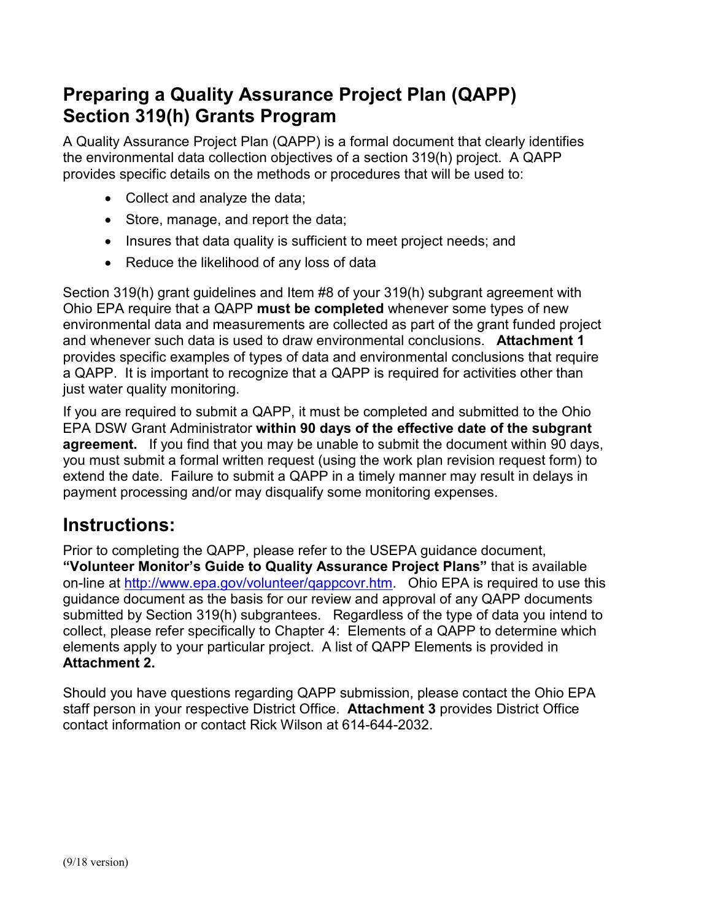## **Preparing a Quality Assurance Project Plan (QAPP) Section 319(h) Grants Program**

A Quality Assurance Project Plan (QAPP) is a formal document that clearly identifies the environmental data collection objectives of a section 319(h) project. A QAPP provides specific details on the methods or procedures that will be used to:

- Collect and analyze the data;
- Store, manage, and report the data;
- Insures that data quality is sufficient to meet project needs; and
- Reduce the likelihood of any loss of data

Section 319(h) grant guidelines and Item #8 of your 319(h) subgrant agreement with Ohio EPA require that a QAPP **must be completed** whenever some types of new environmental data and measurements are collected as part of the grant funded project and whenever such data is used to draw environmental conclusions. **Attachment 1** provides specific examples of types of data and environmental conclusions that require a QAPP. It is important to recognize that a QAPP is required for activities other than just water quality monitoring.

If you are required to submit a QAPP, it must be completed and submitted to the Ohio EPA DSW Grant Administrator **within 90 days of the effective date of the subgrant agreement.** If you find that you may be unable to submit the document within 90 days, you must submit a formal written request (using the work plan revision request form) to extend the date. Failure to submit a QAPP in a timely manner may result in delays in payment processing and/or may disqualify some monitoring expenses.

### **Instructions:**

Prior to completing the QAPP, please refer to the USEPA guidance document, **"Volunteer Monitor's Guide to Quality Assurance Project Plans"** that is available on-line at [http://www.epa.gov/volunteer/qappcovr.htm.](http://www.epa.gov/volunteer/qappcovr.htm) Ohio EPA is required to use this guidance document as the basis for our review and approval of any QAPP documents submitted by Section 319(h) subgrantees. Regardless of the type of data you intend to collect, please refer specifically to Chapter 4: Elements of a QAPP to determine which elements apply to your particular project. A list of QAPP Elements is provided in **Attachment 2.**

Should you have questions regarding QAPP submission, please contact the Ohio EPA staff person in your respective District Office. **Attachment 3** provides District Office contact information or contact Rick Wilson at 614-644-2032.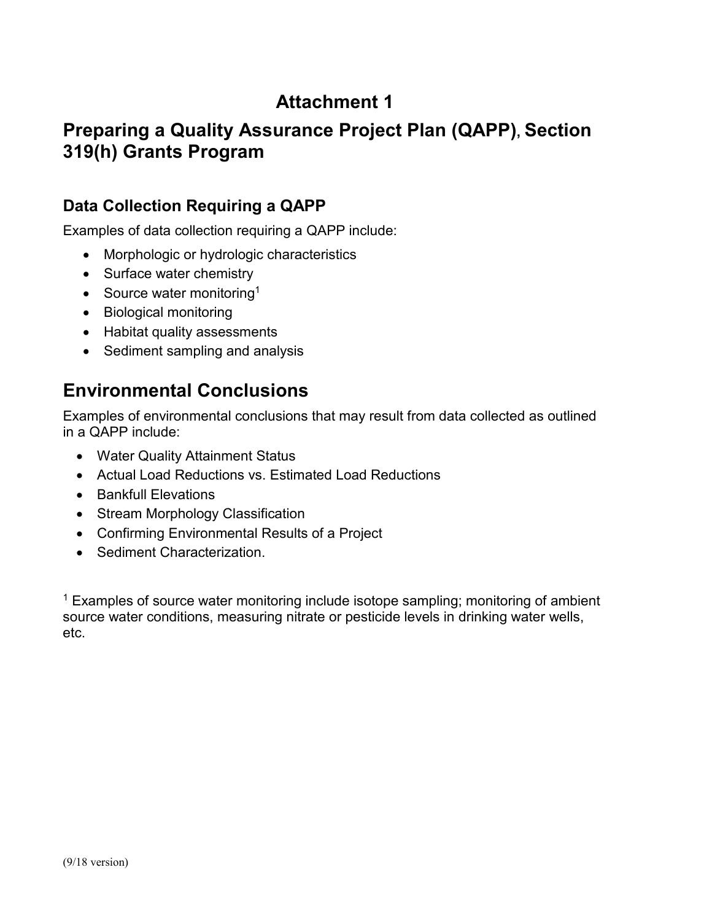# **Attachment 1**

## **Preparing a Quality Assurance Project Plan (QAPP), Section 319(h) Grants Program**

### **Data Collection Requiring a QAPP**

Examples of data collection requiring a QAPP include:

- Morphologic or hydrologic characteristics
- Surface water chemistry
- Source water monitoring<sup>1</sup>
- Biological monitoring
- Habitat quality assessments
- Sediment sampling and analysis

## **Environmental Conclusions**

Examples of environmental conclusions that may result from data collected as outlined in a QAPP include:

- Water Quality Attainment Status
- Actual Load Reductions vs. Estimated Load Reductions
- Bankfull Elevations
- Stream Morphology Classification
- Confirming Environmental Results of a Project
- Sediment Characterization.

<sup>1</sup> Examples of source water monitoring include isotope sampling; monitoring of ambient source water conditions, measuring nitrate or pesticide levels in drinking water wells, etc.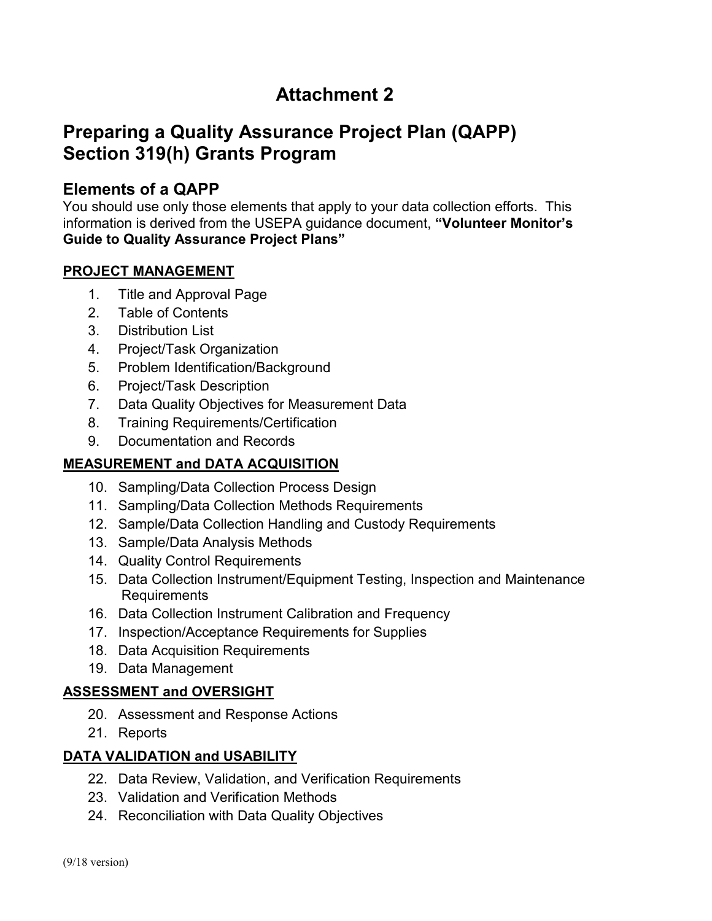# **Attachment 2**

## **Preparing a Quality Assurance Project Plan (QAPP) Section 319(h) Grants Program**

### **Elements of a QAPP**

You should use only those elements that apply to your data collection efforts. This information is derived from the USEPA guidance document, **"Volunteer Monitor's Guide to Quality Assurance Project Plans"**

#### **PROJECT MANAGEMENT**

- 1. Title and Approval Page
- 2. Table of Contents
- 3. Distribution List
- 4. Project/Task Organization
- 5. Problem Identification/Background
- 6. Project/Task Description
- 7. Data Quality Objectives for Measurement Data
- 8. Training Requirements/Certification
- 9. Documentation and Records

#### **MEASUREMENT and DATA ACQUISITION**

- 10. Sampling/Data Collection Process Design
- 11. Sampling/Data Collection Methods Requirements
- 12. Sample/Data Collection Handling and Custody Requirements
- 13. Sample/Data Analysis Methods
- 14. Quality Control Requirements
- 15. Data Collection Instrument/Equipment Testing, Inspection and Maintenance Requirements
- 16. Data Collection Instrument Calibration and Frequency
- 17. Inspection/Acceptance Requirements for Supplies
- 18. Data Acquisition Requirements
- 19. Data Management

#### **ASSESSMENT and OVERSIGHT**

- 20. Assessment and Response Actions
- 21. Reports

#### **DATA VALIDATION and USABILITY**

- 22. Data Review, Validation, and Verification Requirements
- 23. Validation and Verification Methods
- 24. Reconciliation with Data Quality Objectives